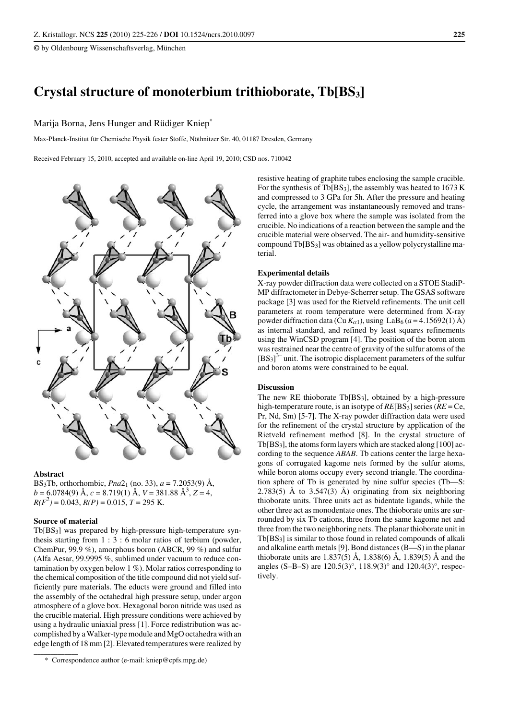**©** by Oldenbourg Wissenschaftsverlag, München

# **Crystal structure of monoterbium trithioborate, Tb[BS3]**

# Marija Borna, Jens Hunger and Rüdiger Kniep\*

Max-Planck-Institut für Chemische Physik fester Stoffe, Nöthnitzer Str. 40, 01187 Dresden, Germany

Received February 15, 2010, accepted and available on-line April 19, 2010; CSD nos. 710042



#### **Abstract**

BS<sub>3</sub>Tb, orthorhombic, *Pna* $2_1$  (no. 33),  $a = 7.2053(9)$  Å,  $b = 6.0784(9)$  Å,  $c = 8.719(1)$  Å,  $V = 381.88$  Å<sup>3</sup>,  $Z = 4$ ,  $R(F^2) = 0.043$ ,  $R(P) = 0.015$ ,  $T = 295$  K.

## **Source of material**

Tb[BS3] was prepared by high-pressure high-temperature synthesis starting from  $1:3:6$  molar ratios of terbium (powder, ChemPur, 99.9 %), amorphous boron (ABCR, 99 %) and sulfur (Alfa Aesar, 99.9995 %, sublimed under vacuum to reduce contamination by oxygen below  $1\%$ ). Molar ratios corresponding to the chemical composition of the title compound did not yield sufficiently pure materials. The educts were ground and filled into the assembly of the octahedral high pressure setup, under argon atmosphere of a glove box. Hexagonal boron nitride was used as the crucible material. High pressure conditions were achieved by using a hydraulic uniaxial press [1]. Force redistribution was accomplished by aWalker-typemodule and MgO octahedra with an edge length of 18 mm [2]. Elevated temperatures were realized by  $\sim$ 

resistive heating of graphite tubes enclosing the sample crucible. For the synthesis of Tb[ $BS_3$ ], the assembly was heated to 1673 K and compressed to 3 GPa for 5h. After the pressure and heating cycle, the arrangement was instantaneously removed and transferred into a glove box where the sample was isolated from the crucible. No indications of a reaction between the sample and the crucible material were observed. The air- and humidity-sensitive compound Tb[BS3] was obtained as a yellow polycrystalline material.

#### **Experimental details**

X-ray powder diffraction data were collected on a STOE StadiP-MP diffractometer in Debye-Scherrer setup. The GSAS software package [3] was used for the Rietveld refinements. The unit cell parameters at room temperature were determined from X-ray powder diffraction data (Cu  $K_{\alpha 1}$ ), using LaB<sub>6</sub> (*a* = 4.15692(1) Å) as internal standard, and refined by least squares refinements using the WinCSD program [4]. The position of the boron atom was restrained near the centre of gravity of the sulfur atoms of the  $[BS<sub>3</sub>]$ <sup>3</sup>-unit. The isotropic displacement parameters of the sulfur and boron atoms were constrained to be equal.

## **Discussion**

The new RE thioborate Tb[BS3], obtained by a high-pressure high-temperature route, is an isotype of *RE*[BS3] series(*RE* = Ce, Pr, Nd, Sm) [5-7]. The X-ray powder diffraction data were used for the refinement of the crystal structure by application of the Rietveld refinement method [8]. In the crystal structure of  $Tb[BS_3]$ , the atoms form layers which are stacked along [100] according to the sequence *ABAB*. Tb cations center the large hexagons of corrugated kagome nets formed by the sulfur atoms, while boron atoms occupy every second triangle. The coordination sphere of Tb is generated by nine sulfur species (Tb—S: 2.783(5) Å to 3.547(3) Å) originating from six neighboring thioborate units. Three units act as bidentate ligands, while the other three act as monodentate ones. The thioborate units are surrounded by six Tb cations, three from the same kagome net and three from the two neighboring nets. The planar thioborate unit in Tb[BS3] is similar to those found in related compounds of alkali and alkaline earth metals[9]. Bond distances(B—S) in the planar thioborate units are 1.837(5) Å, 1.838(6) Å, 1.839(5) Å and the angles (S–B–S) are 120.5(3)°, 118.9(3)° and 120.4(3)°, respectively.

<sup>\*</sup> Correspondence author (e-mail: kniep@cpfs.mpg.de)